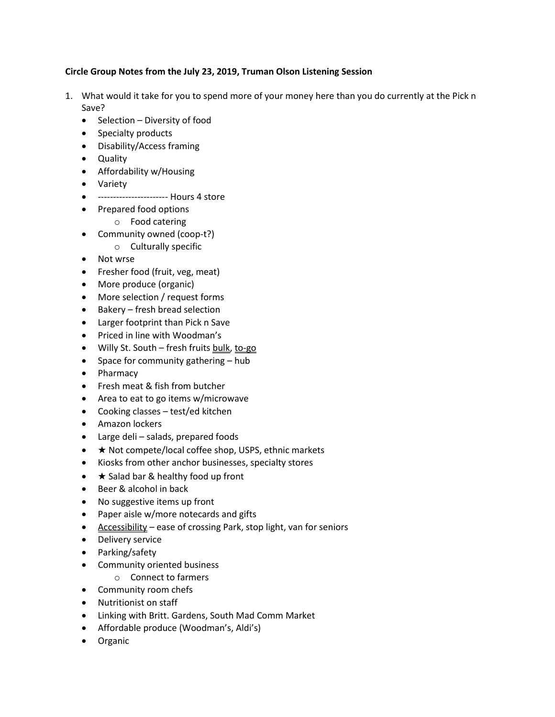## **Circle Group Notes from the July 23, 2019, Truman Olson Listening Session**

- 1. What would it take for you to spend more of your money here than you do currently at the Pick n Save?
	- Selection Diversity of food
	- Specialty products
	- Disability/Access framing
	- Quality
	- Affordability w/Housing
	- Variety
	- ----------------------- Hours 4 store
	- Prepared food options
		- o Food catering
	- Community owned (coop-t?)
		- o Culturally specific
	- Not wrse
	- Fresher food (fruit, veg, meat)
	- More produce (organic)
	- More selection / request forms
	- Bakery fresh bread selection
	- Larger footprint than Pick n Save
	- Priced in line with Woodman's
	- Willy St. South fresh fruits bulk, to-go
	- Space for community gathering  $-$  hub
	- Pharmacy
	- Fresh meat & fish from butcher
	- Area to eat to go items w/microwave
	- Cooking classes test/ed kitchen
	- Amazon lockers
	- Large deli salads, prepared foods
	- ★ Not compete/local coffee shop, USPS, ethnic markets
	- Kiosks from other anchor businesses, specialty stores
	- $\bullet\quad \star$  Salad bar & healthy food up front
	- Beer & alcohol in back
	- No suggestive items up front
	- Paper aisle w/more notecards and gifts
	- Accessibility ease of crossing Park, stop light, van for seniors
	- Delivery service
	- Parking/safety
	- Community oriented business
		- o Connect to farmers
	- Community room chefs
	- Nutritionist on staff
	- Linking with Britt. Gardens, South Mad Comm Market
	- Affordable produce (Woodman's, Aldi's)
	- **•** Organic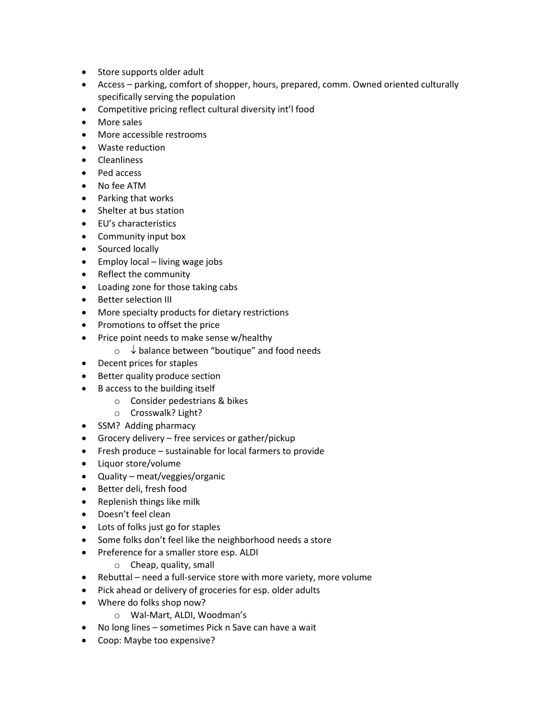- Store supports older adult
- Access parking, comfort of shopper, hours, prepared, comm. Owned oriented culturally specifically serving the population
- Competitive pricing reflect cultural diversity int'l food
- More sales
- More accessible restrooms
- Waste reduction
- Cleanliness
- Ped access
- No fee ATM
- Parking that works
- Shelter at bus station
- EU's characteristics
- Community input box
- Sourced locally
- $\bullet$  Employ local living wage jobs
- Reflect the community
- Loading zone for those taking cabs
- Better selection III
- More specialty products for dietary restrictions
- Promotions to offset the price
- Price point needs to make sense w/healthy
	- $\circ \downarrow$  balance between "boutique" and food needs
- Decent prices for staples
- Better quality produce section
- B access to the building itself
	- o Consider pedestrians & bikes
	- o Crosswalk? Light?
- SSM? Adding pharmacy
- Grocery delivery free services or gather/pickup
- Fresh produce sustainable for local farmers to provide
- Liquor store/volume
- Quality meat/veggies/organic
- Better deli, fresh food
- Replenish things like milk
- Doesn't feel clean
- Lots of folks just go for staples
- Some folks don't feel like the neighborhood needs a store
- Preference for a smaller store esp. ALDI
	- o Cheap, quality, small
- Rebuttal need a full-service store with more variety, more volume
- Pick ahead or delivery of groceries for esp. older adults
- Where do folks shop now?
	- o Wal-Mart, ALDI, Woodman's
- No long lines sometimes Pick n Save can have a wait
- Coop: Maybe too expensive?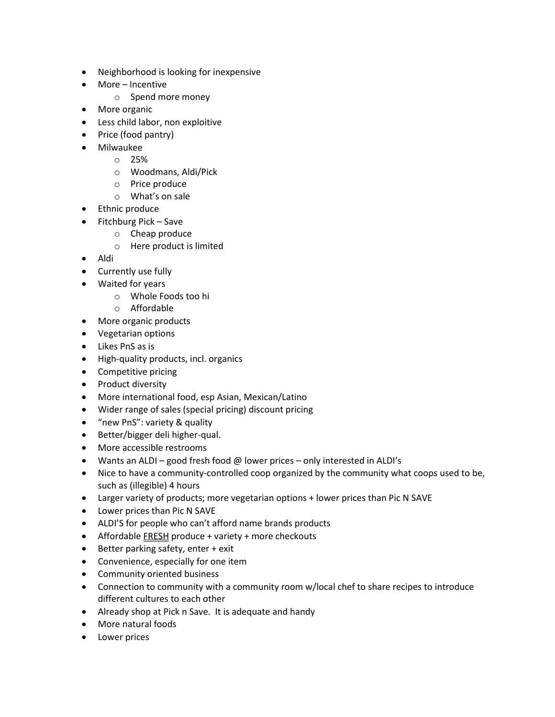- Neighborhood is looking for inexpensive
- More Incentive
	- o Spend more money
- More organic
- Less child labor, non exploitive
- Price (food pantry)
- Milwaukee
	- o 25%
		- o Woodmans, Aldi/Pick
		- o Price produce
		- o What's on sale
- **•** Ethnic produce
- $\bullet$  Fitchburg Pick Save
	- o Cheap produce
	- o Here product is limited
- Aldi
- Currently use fully
- Waited for years
	- o Whole Foods too hi
	- o Affordable
- More organic products
- Vegetarian options
- Likes PnS as is
- High-quality products, incl. organics
- Competitive pricing
- Product diversity
- More international food, esp Asian, Mexican/Latino
- Wider range of sales (special pricing) discount pricing
- "new PnS": variety & quality
- Better/bigger deli higher-qual.
- More accessible restrooms
- Wants an ALDI good fresh food  $\omega$  lower prices only interested in ALDI's
- Nice to have a community-controlled coop organized by the community what coops used to be, such as (illegible) 4 hours
- Larger variety of products; more vegetarian options + lower prices than Pic N SAVE
- Lower prices than Pic N SAVE
- ALDI'S for people who can't afford name brands products
- Affordable FRESH produce + variety + more checkouts
- Better parking safety, enter + exit
- Convenience, especially for one item
- Community oriented business
- Connection to community with a community room w/local chef to share recipes to introduce different cultures to each other
- Already shop at Pick n Save. It is adequate and handy
- More natural foods
- Lower prices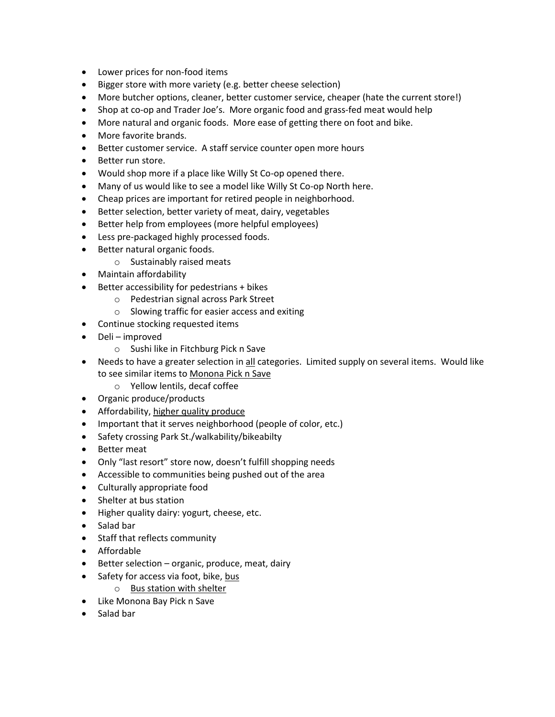- Lower prices for non-food items
- Bigger store with more variety (e.g. better cheese selection)
- More butcher options, cleaner, better customer service, cheaper (hate the current store!)
- Shop at co-op and Trader Joe's. More organic food and grass-fed meat would help
- More natural and organic foods. More ease of getting there on foot and bike.
- More favorite brands.
- Better customer service. A staff service counter open more hours
- Better run store.
- Would shop more if a place like Willy St Co-op opened there.
- Many of us would like to see a model like Willy St Co-op North here.
- Cheap prices are important for retired people in neighborhood.
- Better selection, better variety of meat, dairy, vegetables
- Better help from employees (more helpful employees)
- Less pre-packaged highly processed foods.
- Better natural organic foods.
	- o Sustainably raised meats
- Maintain affordability
- Better accessibility for pedestrians + bikes
	- o Pedestrian signal across Park Street
	- o Slowing traffic for easier access and exiting
- Continue stocking requested items
- Deli improved
	- o Sushi like in Fitchburg Pick n Save
- Needs to have a greater selection in all categories. Limited supply on several items. Would like to see similar items to Monona Pick n Save
	- o Yellow lentils, decaf coffee
- Organic produce/products
- Affordability, higher quality produce
- Important that it serves neighborhood (people of color, etc.)
- Safety crossing Park St./walkability/bikeabilty
- Better meat
- Only "last resort" store now, doesn't fulfill shopping needs
- Accessible to communities being pushed out of the area
- Culturally appropriate food
- Shelter at bus station
- Higher quality dairy: yogurt, cheese, etc.
- Salad bar
- Staff that reflects community
- Affordable
- $\bullet$  Better selection organic, produce, meat, dairy
- Safety for access via foot, bike, bus
	- o Bus station with shelter
- Like Monona Bay Pick n Save
- Salad bar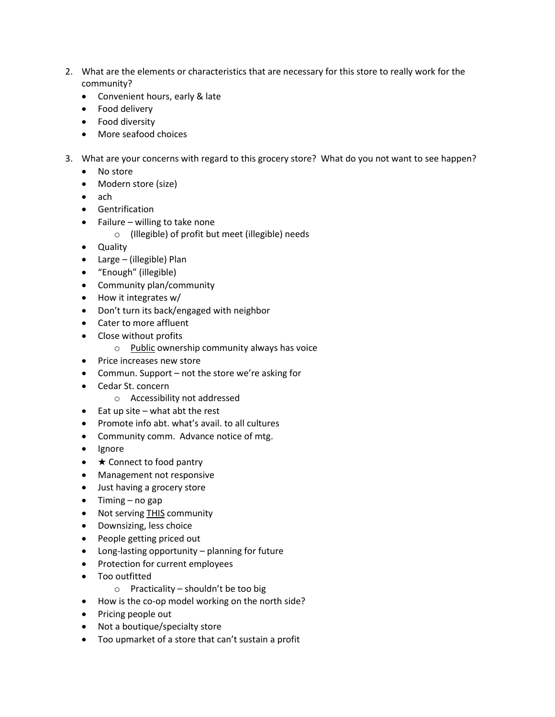- 2. What are the elements or characteristics that are necessary for this store to really work for the community?
	- Convenient hours, early & late
	- Food delivery
	- Food diversity
	- More seafood choices
- 3. What are your concerns with regard to this grocery store? What do you not want to see happen?
	- No store
	- Modern store (size)
	- ach
	- Gentrification
	- $\bullet$  Failure willing to take none
		- o (Illegible) of profit but meet (illegible) needs
	- Quality
	- Large (illegible) Plan
	- "Enough" (illegible)
	- Community plan/community
	- How it integrates w/
	- Don't turn its back/engaged with neighbor
	- Cater to more affluent
	- Close without profits
		- o Public ownership community always has voice
	- Price increases new store
	- Commun. Support not the store we're asking for
	- Cedar St. concern
		- o Accessibility not addressed
	- $\bullet$  Eat up site what abt the rest
	- Promote info abt. what's avail. to all cultures
	- Community comm. Advance notice of mtg.
	- Ignore
	- $\bullet\quad \star$  Connect to food pantry
	- Management not responsive
	- Just having a grocery store
	- $\bullet$  Timing no gap
	- Not serving THIS community
	- Downsizing, less choice
	- People getting priced out
	- Long-lasting opportunity planning for future
	- Protection for current employees
	- Too outfitted
		- $\circ$  Practicality shouldn't be too big
	- How is the co-op model working on the north side?
	- Pricing people out
	- Not a boutique/specialty store
	- Too upmarket of a store that can't sustain a profit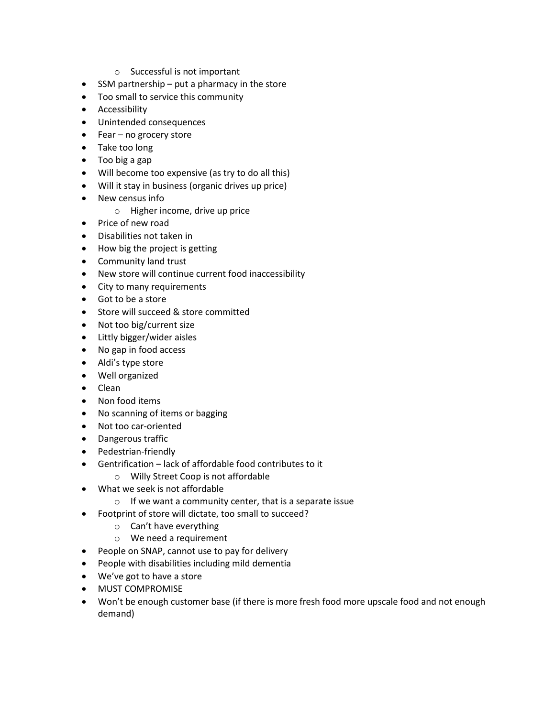- o Successful is not important
- SSM partnership put a pharmacy in the store
- Too small to service this community
- **•** Accessibility
- Unintended consequences
- Fear no grocery store
- Take too long
- Too big a gap
- Will become too expensive (as try to do all this)
- Will it stay in business (organic drives up price)
- New census info
	- o Higher income, drive up price
- Price of new road
- Disabilities not taken in
- How big the project is getting
- Community land trust
- New store will continue current food inaccessibility
- City to many requirements
- Got to be a store
- Store will succeed & store committed
- Not too big/current size
- Littly bigger/wider aisles
- No gap in food access
- Aldi's type store
- Well organized
- Clean
- Non food items
- No scanning of items or bagging
- Not too car-oriented
- Dangerous traffic
- Pedestrian-friendly
- Gentrification lack of affordable food contributes to it
	- o Willy Street Coop is not affordable
- What we seek is not affordable
	- $\circ$  If we want a community center, that is a separate issue
- Footprint of store will dictate, too small to succeed?
	- o Can't have everything
	- o We need a requirement
- People on SNAP, cannot use to pay for delivery
- People with disabilities including mild dementia
- We've got to have a store
- **MUST COMPROMISE**
- Won't be enough customer base (if there is more fresh food more upscale food and not enough demand)